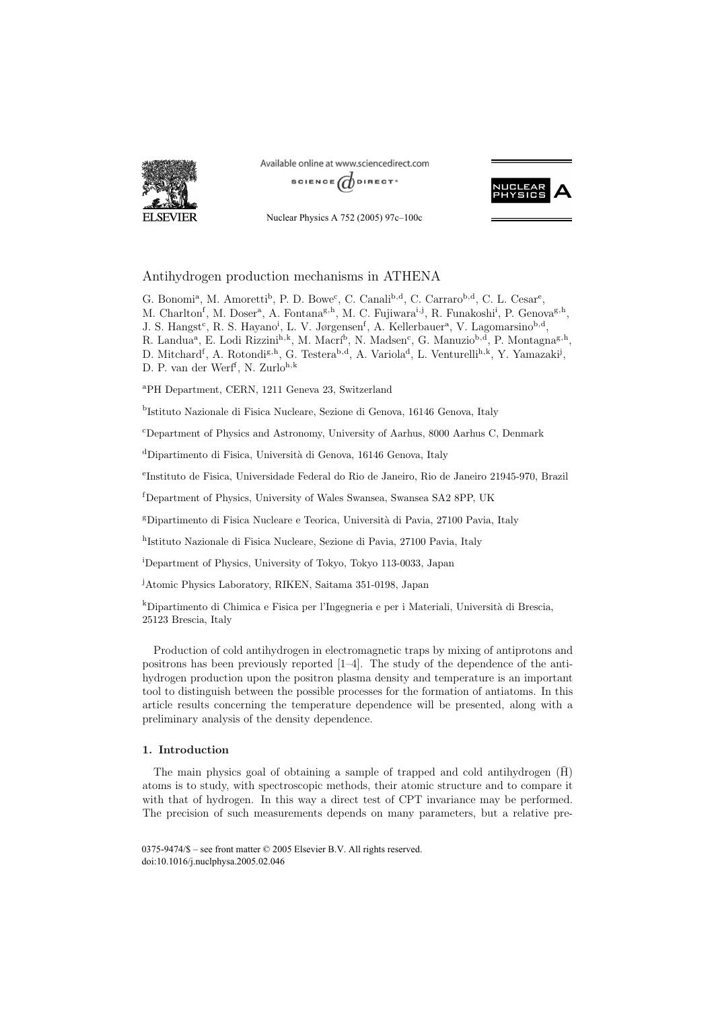

Available online at www.sciencedirect.com







# Antihydrogen production mechanisms in ATHENA

G. Bonomi<sup>a</sup>, M. Amoretti<sup>b</sup>, P. D. Bowe<sup>c</sup>, C. Canali<sup>b,d</sup>, C. Carraro<sup>b,d</sup>, C. L. Cesar<sup>e</sup>, M. Charlton<sup>f</sup>, M. Doser<sup>a</sup>, A. Fontana<sup>g, h</sup>, M. C. Fujiwara<sup>i, j</sup>, R. Funakoshi<sup>i</sup>, P. Genova<sup>g, h</sup>, J. S. Hangst<sup>c</sup>, R. S. Hayano<sup>i</sup>, L. V. Jørgensen<sup>f</sup>, A. Kellerbauer<sup>a</sup>, V. Lagomarsino<sup>b,d</sup>, R. Landua<sup>a</sup>, E. Lodi Rizzini<sup>h,k</sup>, M. Macrí<sup>b</sup>, N. Madsen<sup>c</sup>, G. Manuzio<sup>b,d</sup>, P. Montagna<sup>g,h</sup>, D. Mitchard<sup>f</sup>, A. Rotondi<sup>g,h</sup>, G. Testera<sup>b,d</sup>, A. Variola<sup>d</sup>, L. Venturelli<sup>h,k</sup>, Y. Yamazaki<sup>j</sup>, D. P. van der Werf<sup>f</sup>, N. Zurlo<sup>h, k</sup>

<sup>a</sup>PH Department, CERN, 1211 Geneva 23, Switzerland

<sup>b</sup>Istituto Nazionale di Fisica Nucleare, Sezione di Genova, 16146 Genova, Italy

c Department of Physics and Astronomy, University of Aarhus, 8000 Aarhus C, Denmark

<sup>d</sup>Dipartimento di Fisica, Università di Genova, 16146 Genova, Italy

e Instituto de Fisica, Universidade Federal do Rio de Janeiro, Rio de Janeiro 21945-970, Brazil

f Department of Physics, University of Wales Swansea, Swansea SA2 8PP, UK

<sup>g</sup>Dipartimento di Fisica Nucleare e Teorica, Università di Pavia, 27100 Pavia, Italy

<sup>h</sup>Istituto Nazionale di Fisica Nucleare, Sezione di Pavia, 27100 Pavia, Italy

i Department of Physics, University of Tokyo, Tokyo 113-0033, Japan

j Atomic Physics Laboratory, RIKEN, Saitama 351-0198, Japan

 $k$ Dipartimento di Chimica e Fisica per l'Ingegneria e per i Materiali, Università di Brescia, 25123 Brescia, Italy

Production of cold antihydrogen in electromagnetic traps by mixing of antiprotons and positrons has been previously reported [1–4]. The study of the dependence of the antihydrogen production upon the positron plasma density and temperature is an important tool to distinguish between the possible processes for the formation of antiatoms. In this article results concerning the temperature dependence will be presented, along with a preliminary analysis of the density dependence.

## **1. Introduction**

The main physics goal of obtaining a sample of trapped and cold antihydrogen  $(\bar{H})$ atoms is to study, with spectroscopic methods, their atomic structure and to compare it with that of hydrogen. In this way a direct test of CPT invariance may be performed. The precision of such measurements depends on many parameters, but a relative pre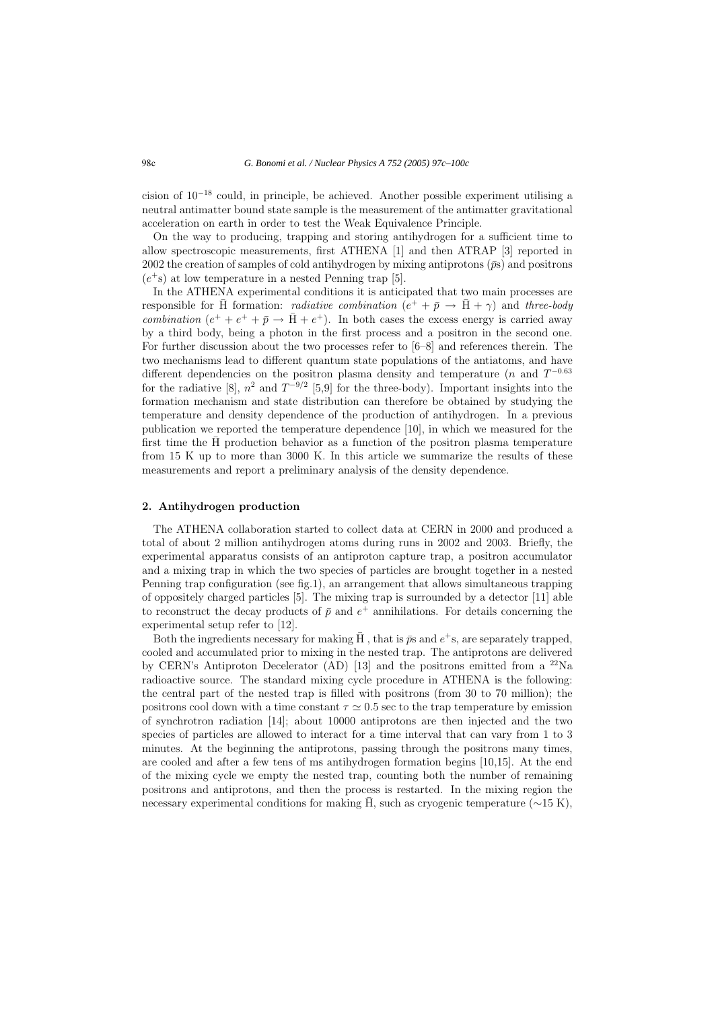cision of 10−<sup>18</sup> could, in principle, be achieved. Another possible experiment utilising a neutral antimatter bound state sample is the measurement of the antimatter gravitational acceleration on earth in order to test the Weak Equivalence Principle.

On the way to producing, trapping and storing antihydrogen for a sufficient time to allow spectroscopic measurements, first ATHENA [1] and then ATRAP [3] reported in 2002 the creation of samples of cold antihydrogen by mixing antiprotons  $(\bar{p}s)$  and positrons  $(e^+s)$  at low temperature in a nested Penning trap [5].

In the ATHENA experimental conditions it is anticipated that two main processes are responsible for H formation: *radiative combination*  $(e^+ + \bar{p} \rightarrow \bar{H} + \gamma)$  and three-body combination  $(e^+ + e^+ + \bar{p} \rightarrow \bar{H} + e^+)$ . In both cases the excess energy is carried away by a third body, being a photon in the first process and a positron in the second one. For further discussion about the two processes refer to [6–8] and references therein. The two mechanisms lead to different quantum state populations of the antiatoms, and have different dependencies on the positron plasma density and temperature (n and  $T^{-0.63}$ ) for the radiative [8],  $n^2$  and  $T^{-9/2}$  [5,9] for the three-body). Important insights into the formation mechanism and state distribution can therefore be obtained by studying the temperature and density dependence of the production of antihydrogen. In a previous publication we reported the temperature dependence [10], in which we measured for the first time the  $\bar{H}$  production behavior as a function of the positron plasma temperature from 15 K up to more than 3000 K. In this article we summarize the results of these measurements and report a preliminary analysis of the density dependence.

#### **2. Antihydrogen production**

The ATHENA collaboration started to collect data at CERN in 2000 and produced a total of about 2 million antihydrogen atoms during runs in 2002 and 2003. Briefly, the experimental apparatus consists of an antiproton capture trap, a positron accumulator and a mixing trap in which the two species of particles are brought together in a nested Penning trap configuration (see fig.1), an arrangement that allows simultaneous trapping of oppositely charged particles [5]. The mixing trap is surrounded by a detector [11] able to reconstruct the decay products of  $\bar{p}$  and  $e^+$  annihilations. For details concerning the experimental setup refer to [12].

Both the ingredients necessary for making  $\overline{H}$ , that is  $\overline{p}s$  and  $e^+s$ , are separately trapped, cooled and accumulated prior to mixing in the nested trap. The antiprotons are delivered by CERN's Antiproton Decelerator (AD) [13] and the positrons emitted from a  $^{22}$ Na radioactive source. The standard mixing cycle procedure in ATHENA is the following: the central part of the nested trap is filled with positrons (from 30 to 70 million); the positrons cool down with a time constant  $\tau \simeq 0.5$  sec to the trap temperature by emission of synchrotron radiation [14]; about 10000 antiprotons are then injected and the two species of particles are allowed to interact for a time interval that can vary from 1 to 3 minutes. At the beginning the antiprotons, passing through the positrons many times, are cooled and after a few tens of ms antihydrogen formation begins [10,15]. At the end of the mixing cycle we empty the nested trap, counting both the number of remaining positrons and antiprotons, and then the process is restarted. In the mixing region the necessary experimental conditions for making H, such as cryogenic temperature  $(\sim 15 \text{ K})$ ,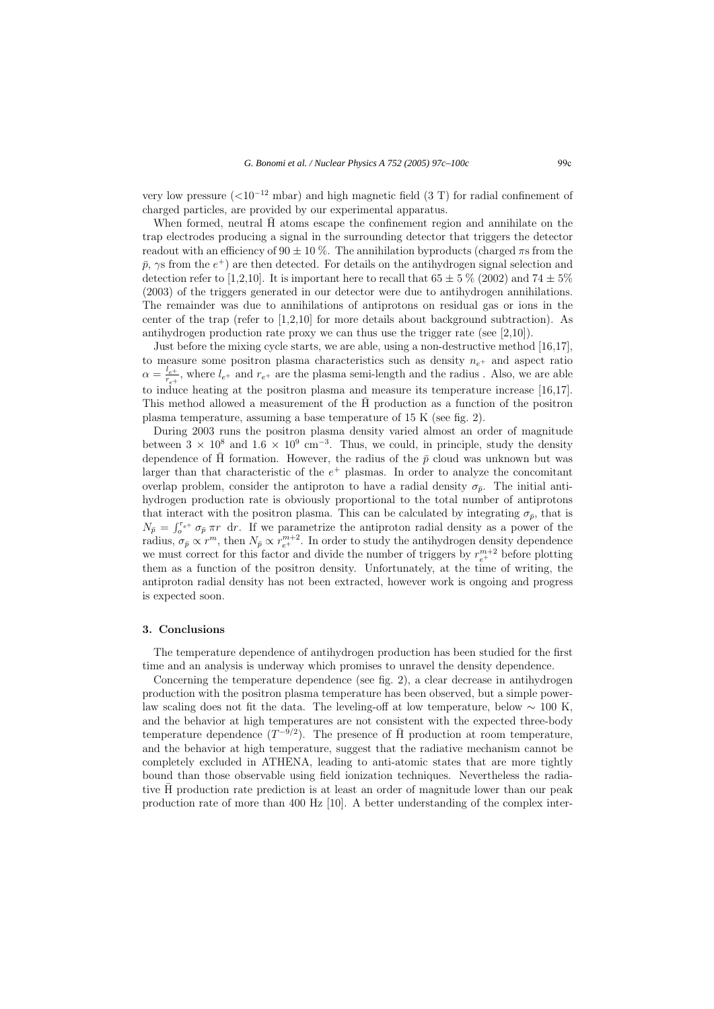very low pressure  $(<10^{-12}$  mbar) and high magnetic field (3 T) for radial confinement of charged particles, are provided by our experimental apparatus.

When formed, neutral  $\bar{H}$  atoms escape the confinement region and annihilate on the trap electrodes producing a signal in the surrounding detector that triggers the detector readout with an efficiency of  $90 \pm 10$ %. The annihilation byproducts (charged  $\pi s$  from the  $\bar{p}$ ,  $\gamma$ s from the  $e^+$ ) are then detected. For details on the antihydrogen signal selection and detection refer to [1,2,10]. It is important here to recall that  $65 \pm 5\%$  (2002) and  $74 \pm 5\%$ (2003) of the triggers generated in our detector were due to antihydrogen annihilations. The remainder was due to annihilations of antiprotons on residual gas or ions in the center of the trap (refer to [1,2,10] for more details about background subtraction). As antihydrogen production rate proxy we can thus use the trigger rate (see  $[2,10]$ ).

Just before the mixing cycle starts, we are able, using a non-destructive method [16,17], to measure some positron plasma characteristics such as density  $n_{e^+}$  and aspect ratio  $\alpha = \frac{l_{e^+}}{r_{e^+}}$ , where  $l_{e^+}$  and  $r_{e^+}$  are the plasma semi-length and the radius . Also, we are able to induce heating at the positron plasma and measure its temperature increase [16,17]. This method allowed a measurement of the H production as a function of the positron ¯ plasma temperature, assuming a base temperature of 15 K (see fig. 2).

During 2003 runs the positron plasma density varied almost an order of magnitude between  $3 \times 10^8$  and  $1.6 \times 10^9$  cm<sup>-3</sup>. Thus, we could, in principle, study the density dependence of  $\overline{H}$  formation. However, the radius of the  $\overline{p}$  cloud was unknown but was larger than that characteristic of the  $e^+$  plasmas. In order to analyze the concomitant overlap problem, consider the antiproton to have a radial density  $\sigma_{\bar{p}}$ . The initial antihydrogen production rate is obviously proportional to the total number of antiprotons that interact with the positron plasma. This can be calculated by integrating  $\sigma_{\bar{p}}$ , that is  $N_{\bar{p}} = \int_0^{r_{e^+}} \sigma_{\bar{p}} \pi r \, dr$ . If we parametrize the antiproton radial density as a power of the radius,  $\sigma_{\bar{p}} \propto r^m$ , then  $N_{\bar{p}} \propto r_{e^+}^{m+2}$ . In order to study the antihydrogen density dependence we must correct for this factor and divide the number of triggers by  $r_{e^+}^{m+2}$  before plotting them as a function of the positron density. Unfortunately, at the time of writing, the antiproton radial density has not been extracted, however work is ongoing and progress is expected soon.

#### **3. Conclusions**

The temperature dependence of antihydrogen production has been studied for the first time and an analysis is underway which promises to unravel the density dependence.

Concerning the temperature dependence (see fig. 2), a clear decrease in antihydrogen production with the positron plasma temperature has been observed, but a simple powerlaw scaling does not fit the data. The leveling-off at low temperature, below  $\sim 100$  K, and the behavior at high temperatures are not consistent with the expected three-body temperature dependence  $(T^{-9/2})$ . The presence of  $\overline{H}$  production at room temperature, and the behavior at high temperature, suggest that the radiative mechanism cannot be completely excluded in ATHENA, leading to anti-atomic states that are more tightly bound than those observable using field ionization techniques. Nevertheless the radiative H production rate prediction is at least an order of magnitude lower than our peak ¯ production rate of more than 400 Hz [10]. A better understanding of the complex inter-